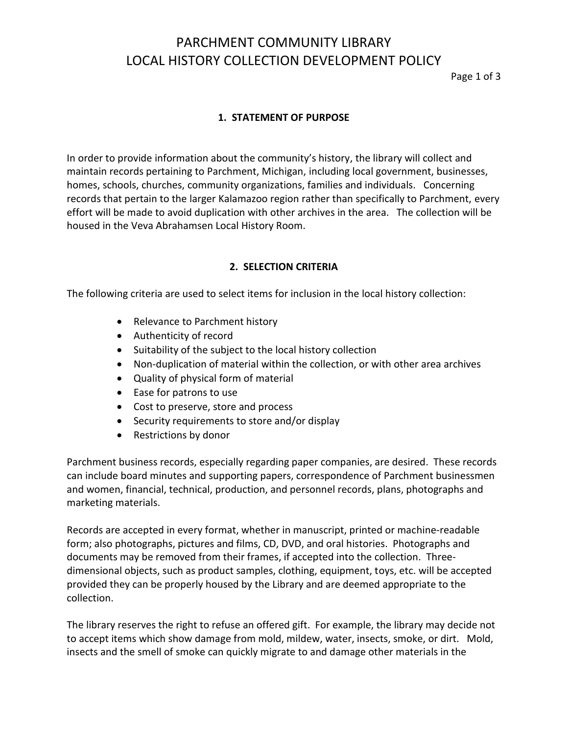# PARCHMENT COMMUNITY LIBRARY LOCAL HISTORY COLLECTION DEVELOPMENT POLICY

Page 1 of 3

### **1. STATEMENT OF PURPOSE**

In order to provide information about the community's history, the library will collect and maintain records pertaining to Parchment, Michigan, including local government, businesses, homes, schools, churches, community organizations, families and individuals. Concerning records that pertain to the larger Kalamazoo region rather than specifically to Parchment, every effort will be made to avoid duplication with other archives in the area. The collection will be housed in the Veva Abrahamsen Local History Room.

### **2. SELECTION CRITERIA**

The following criteria are used to select items for inclusion in the local history collection:

- Relevance to Parchment history
- Authenticity of record
- Suitability of the subject to the local history collection
- Non-duplication of material within the collection, or with other area archives
- Quality of physical form of material
- Ease for patrons to use
- Cost to preserve, store and process
- Security requirements to store and/or display
- Restrictions by donor

Parchment business records, especially regarding paper companies, are desired. These records can include board minutes and supporting papers, correspondence of Parchment businessmen and women, financial, technical, production, and personnel records, plans, photographs and marketing materials.

Records are accepted in every format, whether in manuscript, printed or machine-readable form; also photographs, pictures and films, CD, DVD, and oral histories. Photographs and documents may be removed from their frames, if accepted into the collection. Threedimensional objects, such as product samples, clothing, equipment, toys, etc. will be accepted provided they can be properly housed by the Library and are deemed appropriate to the collection.

The library reserves the right to refuse an offered gift. For example, the library may decide not to accept items which show damage from mold, mildew, water, insects, smoke, or dirt. Mold, insects and the smell of smoke can quickly migrate to and damage other materials in the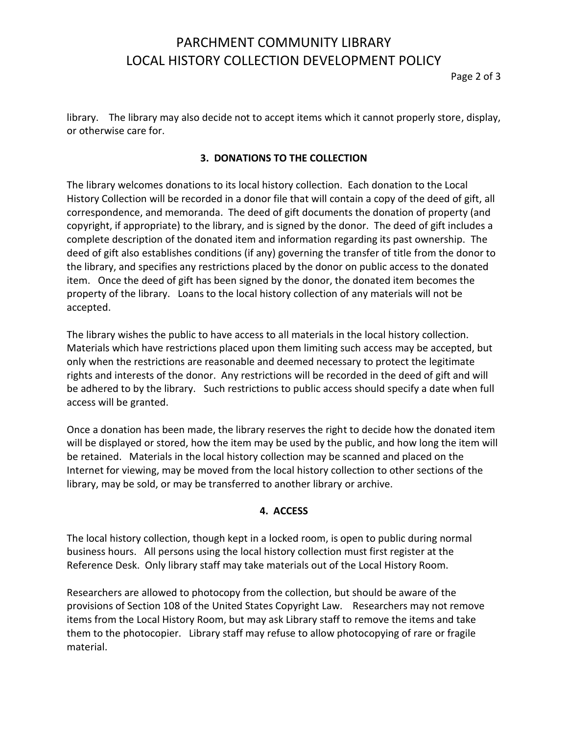# PARCHMENT COMMUNITY LIBRARY LOCAL HISTORY COLLECTION DEVELOPMENT POLICY

Page 2 of 3

library. The library may also decide not to accept items which it cannot properly store, display, or otherwise care for.

## **3. DONATIONS TO THE COLLECTION**

The library welcomes donations to its local history collection. Each donation to the Local History Collection will be recorded in a donor file that will contain a copy of the deed of gift, all correspondence, and memoranda. The deed of gift documents the donation of property (and copyright, if appropriate) to the library, and is signed by the donor. The deed of gift includes a complete description of the donated item and information regarding its past ownership. The deed of gift also establishes conditions (if any) governing the transfer of title from the donor to the library, and specifies any restrictions placed by the donor on public access to the donated item. Once the deed of gift has been signed by the donor, the donated item becomes the property of the library. Loans to the local history collection of any materials will not be accepted.

The library wishes the public to have access to all materials in the local history collection. Materials which have restrictions placed upon them limiting such access may be accepted, but only when the restrictions are reasonable and deemed necessary to protect the legitimate rights and interests of the donor. Any restrictions will be recorded in the deed of gift and will be adhered to by the library. Such restrictions to public access should specify a date when full access will be granted.

Once a donation has been made, the library reserves the right to decide how the donated item will be displayed or stored, how the item may be used by the public, and how long the item will be retained. Materials in the local history collection may be scanned and placed on the Internet for viewing, may be moved from the local history collection to other sections of the library, may be sold, or may be transferred to another library or archive.

#### **4. ACCESS**

The local history collection, though kept in a locked room, is open to public during normal business hours. All persons using the local history collection must first register at the Reference Desk. Only library staff may take materials out of the Local History Room.

Researchers are allowed to photocopy from the collection, but should be aware of the provisions of Section 108 of the United States Copyright Law. Researchers may not remove items from the Local History Room, but may ask Library staff to remove the items and take them to the photocopier. Library staff may refuse to allow photocopying of rare or fragile material.